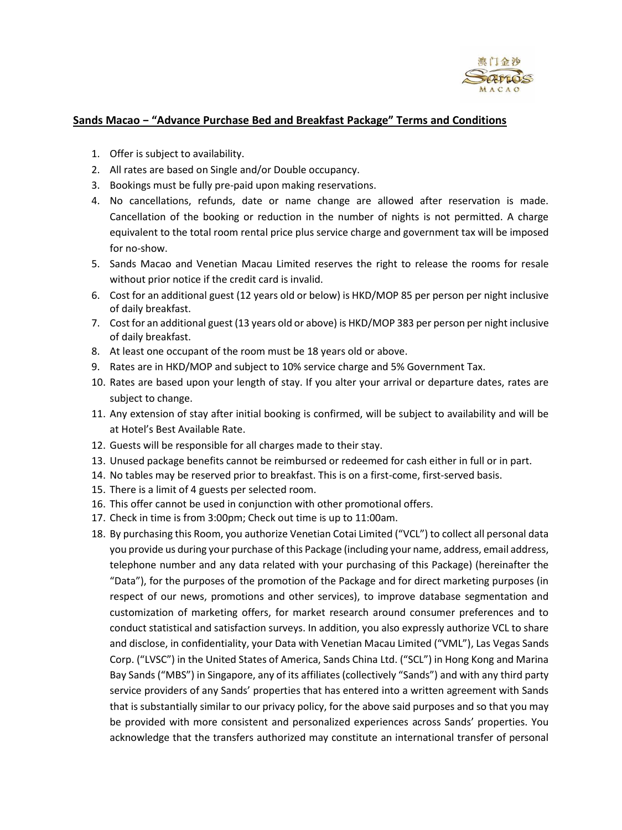

## **Sands Macao − "Advance Purchase Bed and Breakfast Package" Terms and Conditions**

- 1. Offer is subject to availability.
- 2. All rates are based on Single and/or Double occupancy.
- 3. Bookings must be fully pre-paid upon making reservations.
- 4. No cancellations, refunds, date or name change are allowed after reservation is made. Cancellation of the booking or reduction in the number of nights is not permitted. A charge equivalent to the total room rental price plus service charge and government tax will be imposed for no-show.
- 5. Sands Macao and Venetian Macau Limited reserves the right to release the rooms for resale without prior notice if the credit card is invalid.
- 6. Cost for an additional guest (12 years old or below) is HKD/MOP 85 per person per night inclusive of daily breakfast.
- 7. Cost for an additional guest (13 years old or above) is HKD/MOP 383 per person per night inclusive of daily breakfast.
- 8. At least one occupant of the room must be 18 years old or above.
- 9. Rates are in HKD/MOP and subject to 10% service charge and 5% Government Tax.
- 10. Rates are based upon your length of stay. If you alter your arrival or departure dates, rates are subject to change.
- 11. Any extension of stay after initial booking is confirmed, will be subject to availability and will be at Hotel's Best Available Rate.
- 12. Guests will be responsible for all charges made to their stay.
- 13. Unused package benefits cannot be reimbursed or redeemed for cash either in full or in part.
- 14. No tables may be reserved prior to breakfast. This is on a first-come, first-served basis.
- 15. There is a limit of 4 guests per selected room.
- 16. This offer cannot be used in conjunction with other promotional offers.
- 17. Check in time is from 3:00pm; Check out time is up to 11:00am.
- 18. By purchasing this Room, you authorize Venetian Cotai Limited ("VCL") to collect all personal data you provide us during your purchase of this Package (including your name, address, email address, telephone number and any data related with your purchasing of this Package) (hereinafter the "Data"), for the purposes of the promotion of the Package and for direct marketing purposes (in respect of our news, promotions and other services), to improve database segmentation and customization of marketing offers, for market research around consumer preferences and to conduct statistical and satisfaction surveys. In addition, you also expressly authorize VCL to share and disclose, in confidentiality, your Data with Venetian Macau Limited ("VML"), Las Vegas Sands Corp. ("LVSC") in the United States of America, Sands China Ltd. ("SCL") in Hong Kong and Marina Bay Sands ("MBS") in Singapore, any of its affiliates (collectively "Sands") and with any third party service providers of any Sands' properties that has entered into a written agreement with Sands that is substantially similar to our privacy policy, for the above said purposes and so that you may be provided with more consistent and personalized experiences across Sands' properties. You acknowledge that the transfers authorized may constitute an international transfer of personal